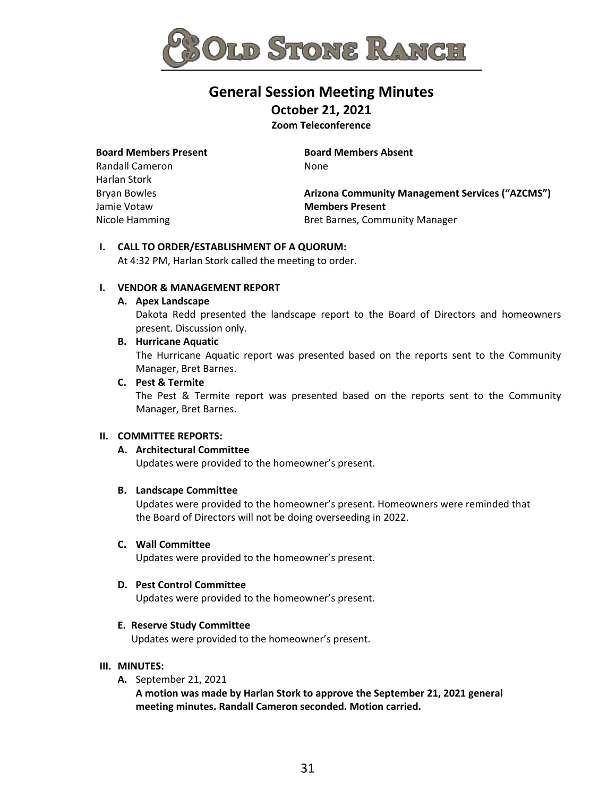

# **General Session Meeting Minutes**

**October 21, 2021**

**Zoom Teleconference** 

#### **Board Members Present**

Randall Cameron Harlan Stork Bryan Bowles Jamie Votaw Nicole Hamming

**Board Members Absent** None

**Arizona Community Management Services ("AZCMS") Members Present** Bret Barnes, Community Manager

## **I. CALL TO ORDER/ESTABLISHMENT OF A QUORUM:**

At 4:32 PM, Harlan Stork called the meeting to order.

## **I. VENDOR & MANAGEMENT REPORT**

## **A. Apex Landscape**

Dakota Redd presented the landscape report to the Board of Directors and homeowners present. Discussion only.

#### **B. Hurricane Aquatic**

The Hurricane Aquatic report was presented based on the reports sent to the Community Manager, Bret Barnes.

## **C. Pest & Termite**

The Pest & Termite report was presented based on the reports sent to the Community Manager, Bret Barnes.

## **II. COMMITTEE REPORTS:**

## **A. Architectural Committee**

Updates were provided to the homeowner's present.

## **B. Landscape Committee**

Updates were provided to the homeowner's present. Homeowners were reminded that the Board of Directors will not be doing overseeding in 2022.

#### **C. Wall Committee**

Updates were provided to the homeowner's present.

#### **D. Pest Control Committee**

Updates were provided to the homeowner's present.

## **E. Reserve Study Committee**

Updates were provided to the homeowner's present.

#### **III. MINUTES:**

**A.** September 21, 2021

**A motion was made by Harlan Stork to approve the September 21, 2021 general meeting minutes. Randall Cameron seconded. Motion carried.**